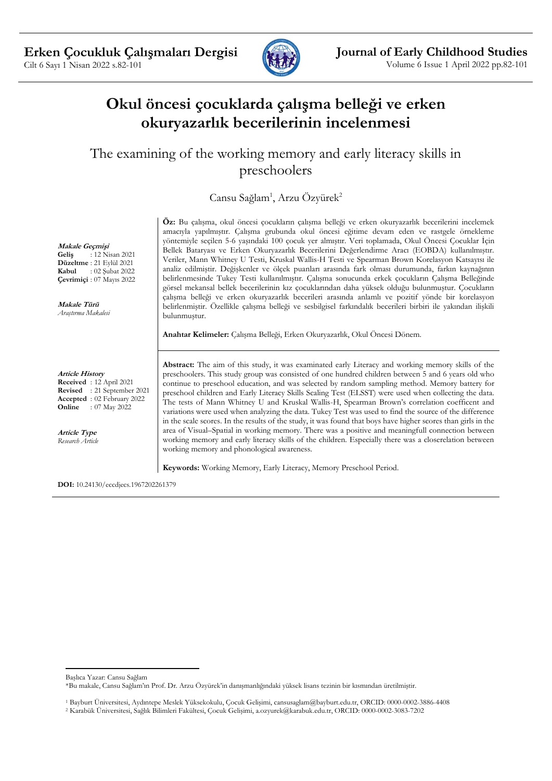

# **Okul öncesi çocuklarda çalışma belleği ve erken okuryazarlık becerilerinin incelenmesi**

The examining of the working memory and early literacy skills in preschoolers

Cansu Sağlam<sup>1</sup>, Arzu Özyürek<sup>2</sup>

**Makale Geçmişi Geliş** : 12 Nisan 2021 **Düzeltme** : 21 Eylül 2021<br>**Kabul** : 02 Subat 2022 **Kabul** : 02 Şubat 2022 **Çevrimiçi** : 07 Mayıs 2022

**Makale Türü** *Araştırma Makalesi*

**Article History Received** : 12 April 2021 **Revised** : 21 September 2021 **Accepted** : 02 February 2022 **Online** : 07 May 2022

**Article Type** *Research Article* **Öz:** Bu çalışma, okul öncesi çocukların çalışma belleği ve erken okuryazarlık becerilerini incelemek amacıyla yapılmıştır. Çalışma grubunda okul öncesi eğitime devam eden ve rastgele örnekleme yöntemiyle seçilen 5-6 yaşındaki 100 çocuk yer almıştır. Veri toplamada, Okul Öncesi Çocuklar İçin Bellek Bataryası ve Erken Okuryazarlık Becerilerini Değerlendirme Aracı (EOBDA) kullanılmıştır. Veriler, Mann Whitney U Testi, Kruskal Wallis-H Testi ve Spearman Brown Korelasyon Katsayısı ile analiz edilmiştir. Değişkenler ve ölçek puanları arasında fark olması durumunda, farkın kaynağının belirlenmesinde Tukey Testi kullanılmıştır. Çalışma sonucunda erkek çocukların Çalışma Belleğinde görsel mekansal bellek becerilerinin kız çocuklarından daha yüksek olduğu bulunmuştur. Çocukların çalışma belleği ve erken okuryazarlık becerileri arasında anlamlı ve pozitif yönde bir korelasyon belirlenmiştir. Özellikle çalışma belleği ve sesbilgisel farkındalık becerileri birbiri ile yakından ilişkili bulunmuştur.

**Anahtar Kelimeler:** Çalışma Belleği, Erken Okuryazarlık, Okul Öncesi Dönem.

**Abstract:** The aim of this study, it was examinated early Literacy and working memory skills of the preschoolers. This study group was consisted of one hundred children between 5 and 6 years old who continue to preschool education, and was selected by random sampling method. Memory battery for preschool children and Early Literacy Skills Scaling Test (ELSST) were used when collecting the data. The tests of Mann Whitney U and Kruskal Wallis-H, Spearman Brown's correlation coefficent and variations were used when analyzing the data. Tukey Test was used to find the source of the difference in the scale scores. In the results of the study, it was found that boys have higher scores than girls in the area of Visual–Spatial in working memory. There was a positive and meaningfull connection between working memory and early literacy skills of the children. Especially there was a closerelation between working memory and phonological awareness.

**Keywords:** Working Memory, Early Literacy, Memory Preschool Period.

**DOI:** 10.24130/eccdjecs.1967202261379

<sup>1</sup> Bayburt Üniversitesi, Aydıntepe Meslek Yüksekokulu, Çocuk Gelişimi, cansusaglam@bayburt.edu.tr, ORCID: 0000-0002-3886-4408 <sup>2</sup> Karabük Üniversitesi, Sağlık Bilimleri Fakültesi, Çocuk Gelişimi, a.ozyurek@karabuk.edu.tr, ORCID: 0000-0002-3083-7202

Başlıca Yazar: Cansu Sağlam

<sup>\*</sup>Bu makale, Cansu Sağlam'ın Prof. Dr. Arzu Özyürek'in danışmanlığındaki yüksek lisans tezinin bir kısmından üretilmiştir.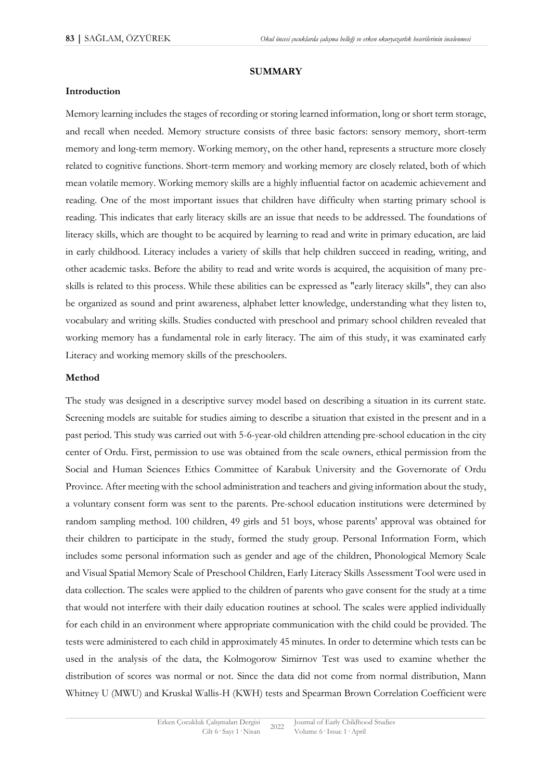#### **SUMMARY**

#### **Introduction**

Memory learning includes the stages of recording or storing learned information, long or short term storage, and recall when needed. Memory structure consists of three basic factors: sensory memory, short-term memory and long-term memory. Working memory, on the other hand, represents a structure more closely related to cognitive functions. Short-term memory and working memory are closely related, both of which mean volatile memory. Working memory skills are a highly influential factor on academic achievement and reading. One of the most important issues that children have difficulty when starting primary school is reading. This indicates that early literacy skills are an issue that needs to be addressed. The foundations of literacy skills, which are thought to be acquired by learning to read and write in primary education, are laid in early childhood. Literacy includes a variety of skills that help children succeed in reading, writing, and other academic tasks. Before the ability to read and write words is acquired, the acquisition of many preskills is related to this process. While these abilities can be expressed as "early literacy skills", they can also be organized as sound and print awareness, alphabet letter knowledge, understanding what they listen to, vocabulary and writing skills. Studies conducted with preschool and primary school children revealed that working memory has a fundamental role in early literacy. The aim of this study, it was examinated early Literacy and working memory skills of the preschoolers.

#### **Method**

The study was designed in a descriptive survey model based on describing a situation in its current state. Screening models are suitable for studies aiming to describe a situation that existed in the present and in a past period. This study was carried out with 5-6-year-old children attending pre-school education in the city center of Ordu. First, permission to use was obtained from the scale owners, ethical permission from the Social and Human Sciences Ethics Committee of Karabuk University and the Governorate of Ordu Province. After meeting with the school administration and teachers and giving information about the study, a voluntary consent form was sent to the parents. Pre-school education institutions were determined by random sampling method. 100 children, 49 girls and 51 boys, whose parents' approval was obtained for their children to participate in the study, formed the study group. Personal Information Form, which includes some personal information such as gender and age of the children, Phonological Memory Scale and Visual Spatial Memory Scale of Preschool Children, Early Literacy Skills Assessment Tool were used in data collection. The scales were applied to the children of parents who gave consent for the study at a time that would not interfere with their daily education routines at school. The scales were applied individually for each child in an environment where appropriate communication with the child could be provided. The tests were administered to each child in approximately 45 minutes. In order to determine which tests can be used in the analysis of the data, the Kolmogorow Simirnov Test was used to examine whether the distribution of scores was normal or not. Since the data did not come from normal distribution, Mann Whitney U (MWU) and Kruskal Wallis-H (KWH) tests and Spearman Brown Correlation Coefficient were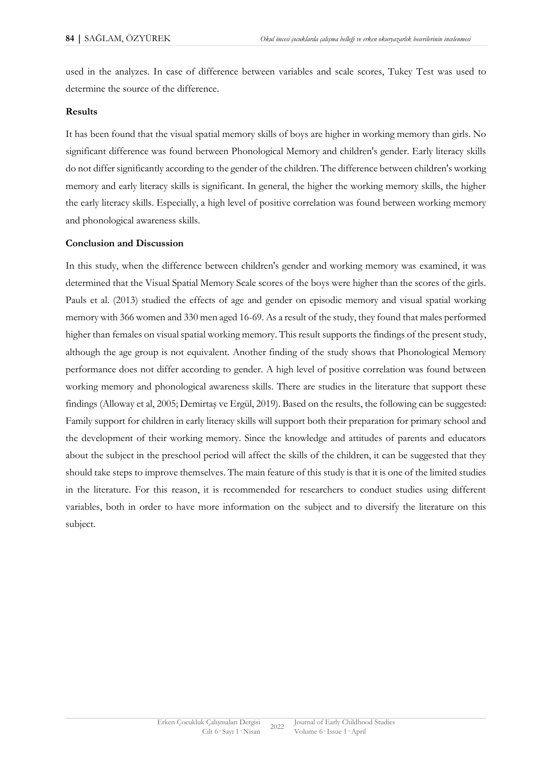used in the analyzes. In case of difference between variables and scale scores, Tukey Test was used to determine the source of the difference.

#### **Results**

It has been found that the visual spatial memory skills of boys are higher in working memory than girls. No significant difference was found between Phonological Memory and children's gender. Early literacy skills do not differ significantly according to the gender of the children. The difference between children's working memory and early literacy skills is significant. In general, the higher the working memory skills, the higher the early literacy skills. Especially, a high level of positive correlation was found between working memory and phonological awareness skills.

#### **Conclusion and Discussion**

In this study, when the difference between children's gender and working memory was examined, it was determined that the Visual Spatial Memory Scale scores of the boys were higher than the scores of the girls. Pauls et al. (2013) studied the effects of age and gender on episodic memory and visual spatial working memory with 366 women and 330 men aged 16-69. As a result of the study, they found that males performed higher than females on visual spatial working memory. This result supports the findings of the present study, although the age group is not equivalent. Another finding of the study shows that Phonological Memory performance does not differ according to gender. A high level of positive correlation was found between working memory and phonological awareness skills. There are studies in the literature that support these findings (Alloway et al, 2005; Demirtaş ve Ergül, 2019). Based on the results, the following can be suggested: Family support for children in early literacy skills will support both their preparation for primary school and the development of their working memory. Since the knowledge and attitudes of parents and educators about the subject in the preschool period will affect the skills of the children, it can be suggested that they should take steps to improve themselves. The main feature of this study is that it is one of the limited studies in the literature. For this reason, it is recommended for researchers to conduct studies using different variables, both in order to have more information on the subject and to diversify the literature on this subject.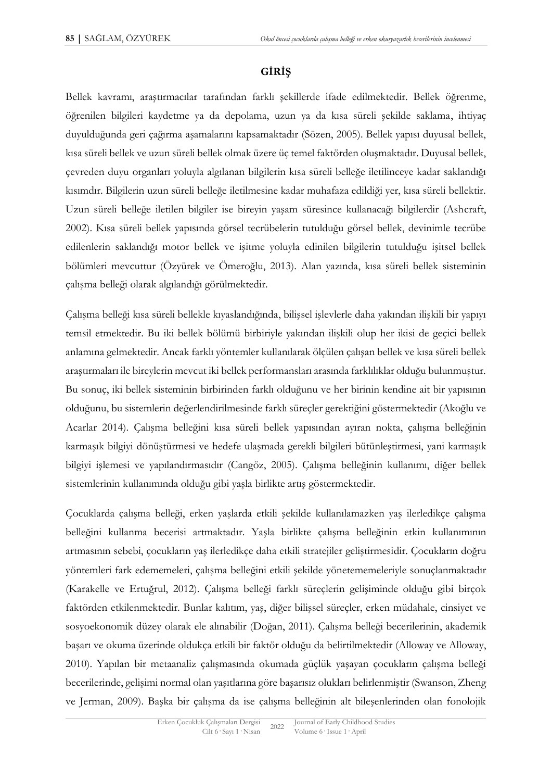# **GİRİŞ**

Bellek kavramı, araştırmacılar tarafından farklı şekillerde ifade edilmektedir. Bellek öğrenme, öğrenilen bilgileri kaydetme ya da depolama, uzun ya da kısa süreli şekilde saklama, ihtiyaç duyulduğunda geri çağırma aşamalarını kapsamaktadır (Sözen, 2005). Bellek yapısı duyusal bellek, kısa süreli bellek ve uzun süreli bellek olmak üzere üç temel faktörden oluşmaktadır. Duyusal bellek, çevreden duyu organları yoluyla algılanan bilgilerin kısa süreli belleğe iletilinceye kadar saklandığı kısımdır. Bilgilerin uzun süreli belleğe iletilmesine kadar muhafaza edildiği yer, kısa süreli bellektir. Uzun süreli belleğe iletilen bilgiler ise bireyin yaşam süresince kullanacağı bilgilerdir (Ashcraft, 2002). Kısa süreli bellek yapısında görsel tecrübelerin tutulduğu görsel bellek, devinimle tecrübe edilenlerin saklandığı motor bellek ve işitme yoluyla edinilen bilgilerin tutulduğu işitsel bellek bölümleri mevcuttur (Özyürek ve Ömeroğlu, 2013). Alan yazında, kısa süreli bellek sisteminin çalışma belleği olarak algılandığı görülmektedir.

Çalışma belleği kısa süreli bellekle kıyaslandığında, bilişsel işlevlerle daha yakından ilişkili bir yapıyı temsil etmektedir. Bu iki bellek bölümü birbiriyle yakından ilişkili olup her ikisi de geçici bellek anlamına gelmektedir. Ancak farklı yöntemler kullanılarak ölçülen çalışan bellek ve kısa süreli bellek araştırmaları ile bireylerin mevcut iki bellek performansları arasında farklılıklar olduğu bulunmuştur. Bu sonuç, iki bellek sisteminin birbirinden farklı olduğunu ve her birinin kendine ait bir yapısının olduğunu, bu sistemlerin değerlendirilmesinde farklı süreçler gerektiğini göstermektedir (Akoğlu ve Acarlar 2014). Çalışma belleğini kısa süreli bellek yapısından ayıran nokta, çalışma belleğinin karmaşık bilgiyi dönüştürmesi ve hedefe ulaşmada gerekli bilgileri bütünleştirmesi, yani karmaşık bilgiyi işlemesi ve yapılandırmasıdır (Cangöz, 2005). Çalışma belleğinin kullanımı, diğer bellek sistemlerinin kullanımında olduğu gibi yaşla birlikte artış göstermektedir.

Çocuklarda çalışma belleği, erken yaşlarda etkili şekilde kullanılamazken yaş ilerledikçe çalışma belleğini kullanma becerisi artmaktadır. Yaşla birlikte çalışma belleğinin etkin kullanımının artmasının sebebi, çocukların yaş ilerledikçe daha etkili stratejiler geliştirmesidir. Çocukların doğru yöntemleri fark edememeleri, çalışma belleğini etkili şekilde yönetememeleriyle sonuçlanmaktadır (Karakelle ve Ertuğrul, 2012). Çalışma belleği farklı süreçlerin gelişiminde olduğu gibi birçok faktörden etkilenmektedir. Bunlar kalıtım, yaş, diğer bilişsel süreçler, erken müdahale, cinsiyet ve sosyoekonomik düzey olarak ele alınabilir (Doğan, 2011). Çalışma belleği becerilerinin, akademik başarı ve okuma üzerinde oldukça etkili bir faktör olduğu da belirtilmektedir (Alloway ve Alloway, 2010). Yapılan bir metaanaliz çalışmasında okumada güçlük yaşayan çocukların çalışma belleği becerilerinde, gelişimi normal olan yaşıtlarına göre başarısız olukları belirlenmiştir (Swanson, Zheng ve Jerman, 2009). Başka bir çalışma da ise çalışma belleğinin alt bileşenlerinden olan fonolojik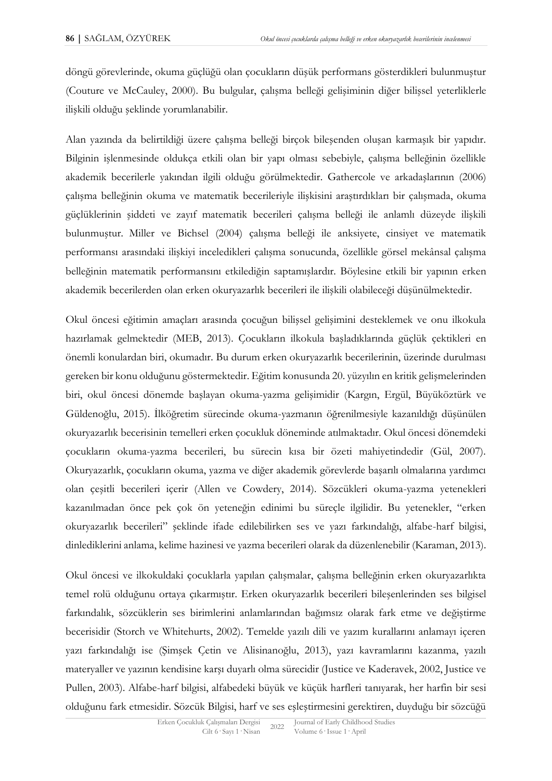döngü görevlerinde, okuma güçlüğü olan çocukların düşük performans gösterdikleri bulunmuştur (Couture ve McCauley, 2000). Bu bulgular, çalışma belleği gelişiminin diğer bilişsel yeterliklerle ilişkili olduğu şeklinde yorumlanabilir.

Alan yazında da belirtildiği üzere çalışma belleği birçok bileşenden oluşan karmaşık bir yapıdır. Bilginin işlenmesinde oldukça etkili olan bir yapı olması sebebiyle, çalışma belleğinin özellikle akademik becerilerle yakından ilgili olduğu görülmektedir. Gathercole ve arkadaşlarının (2006) çalışma belleğinin okuma ve matematik becerileriyle ilişkisini araştırdıkları bir çalışmada, okuma güçlüklerinin şiddeti ve zayıf matematik becerileri çalışma belleği ile anlamlı düzeyde ilişkili bulunmuştur. Miller ve Bichsel (2004) çalışma belleği ile anksiyete, cinsiyet ve matematik performansı arasındaki ilişkiyi inceledikleri çalışma sonucunda, özellikle görsel mekânsal çalışma belleğinin matematik performansını etkilediğin saptamışlardır. Böylesine etkili bir yapının erken akademik becerilerden olan erken okuryazarlık becerileri ile ilişkili olabileceği düşünülmektedir.

Okul öncesi eğitimin amaçları arasında çocuğun bilişsel gelişimini desteklemek ve onu ilkokula hazırlamak gelmektedir (MEB, 2013). Çocukların ilkokula başladıklarında güçlük çektikleri en önemli konulardan biri, okumadır. Bu durum erken okuryazarlık becerilerinin, üzerinde durulması gereken bir konu olduğunu göstermektedir. Eğitim konusunda 20. yüzyılın en kritik gelişmelerinden biri, okul öncesi dönemde başlayan okuma-yazma gelişimidir (Kargın, Ergül, Büyüköztürk ve Güldenoğlu, 2015). İlköğretim sürecinde okuma-yazmanın öğrenilmesiyle kazanıldığı düşünülen okuryazarlık becerisinin temelleri erken çocukluk döneminde atılmaktadır. Okul öncesi dönemdeki çocukların okuma-yazma becerileri, bu sürecin kısa bir özeti mahiyetindedir (Gül, 2007). Okuryazarlık, çocukların okuma, yazma ve diğer akademik görevlerde başarılı olmalarına yardımcı olan çeşitli becerileri içerir (Allen ve Cowdery, 2014). Sözcükleri okuma-yazma yetenekleri kazanılmadan önce pek çok ön yeteneğin edinimi bu süreçle ilgilidir. Bu yetenekler, "erken okuryazarlık becerileri" şeklinde ifade edilebilirken ses ve yazı farkındalığı, alfabe-harf bilgisi, dinlediklerini anlama, kelime hazinesi ve yazma becerileri olarak da düzenlenebilir (Karaman, 2013).

Okul öncesi ve ilkokuldaki çocuklarla yapılan çalışmalar, çalışma belleğinin erken okuryazarlıkta temel rolü olduğunu ortaya çıkarmıştır. Erken okuryazarlık becerileri bileşenlerinden ses bilgisel farkındalık, sözcüklerin ses birimlerini anlamlarından bağımsız olarak fark etme ve değiştirme becerisidir (Storch ve Whitehurts, 2002). Temelde yazılı dili ve yazım kurallarını anlamayı içeren yazı farkındalığı ise (Şimşek Çetin ve Alisinanoğlu, 2013), yazı kavramlarını kazanma, yazılı materyaller ve yazının kendisine karşı duyarlı olma sürecidir (Justice ve Kaderavek, 2002, Justice ve Pullen, 2003). Alfabe-harf bilgisi, alfabedeki büyük ve küçük harfleri tanıyarak, her harfin bir sesi olduğunu fark etmesidir. Sözcük Bilgisi, harf ve ses eşleştirmesini gerektiren, duyduğu bir sözcüğü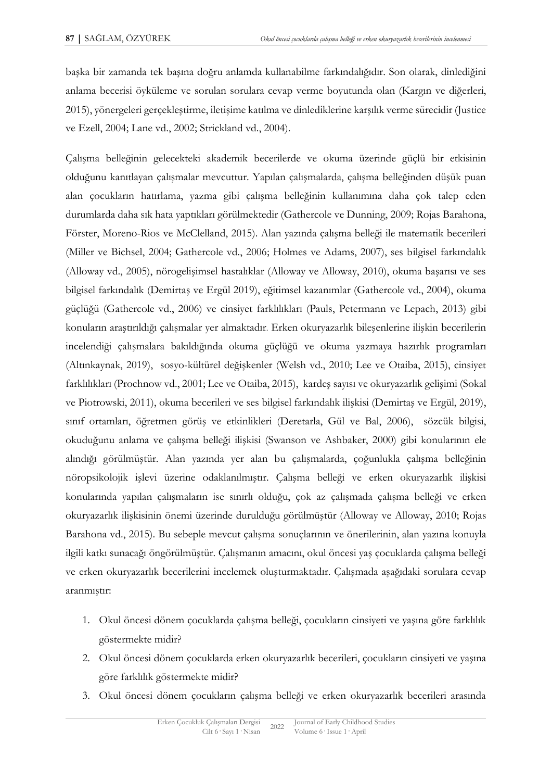başka bir zamanda tek başına doğru anlamda kullanabilme farkındalığıdır. Son olarak, dinlediğini anlama becerisi öyküleme ve sorulan sorulara cevap verme boyutunda olan (Kargın ve diğerleri, 2015), yönergeleri gerçekleştirme, iletişime katılma ve dinlediklerine karşılık verme sürecidir (Justice ve Ezell, 2004; Lane vd., 2002; Strickland vd., 2004).

Çalışma belleğinin gelecekteki akademik becerilerde ve okuma üzerinde güçlü bir etkisinin olduğunu kanıtlayan çalışmalar mevcuttur. Yapılan çalışmalarda, çalışma belleğinden düşük puan alan çocukların hatırlama, yazma gibi çalışma belleğinin kullanımına daha çok talep eden durumlarda daha sık hata yaptıkları görülmektedir (Gathercole ve Dunning, 2009; Rojas Barahona, Förster, Moreno-Rios ve McClelland, 2015). Alan yazında çalışma belleği ile matematik becerileri (Miller ve Bichsel, 2004; Gathercole vd., 2006; Holmes ve Adams, 2007), ses bilgisel farkındalık (Alloway vd., 2005), nörogelişimsel hastalıklar (Alloway ve Alloway, 2010), okuma başarısı ve ses bilgisel farkındalık (Demirtaş ve Ergül 2019), eğitimsel kazanımlar (Gathercole vd., 2004), okuma güçlüğü (Gathercole vd., 2006) ve cinsiyet farklılıkları (Pauls, Petermann ve Lepach, 2013) gibi konuların araştırıldığı çalışmalar yer almaktadır. Erken okuryazarlık bileşenlerine ilişkin becerilerin incelendiği çalışmalara bakıldığında okuma güçlüğü ve okuma yazmaya hazırlık programları (Altınkaynak, 2019), sosyo-kültürel değişkenler (Welsh vd., 2010; Lee ve Otaiba, 2015), cinsiyet farklılıkları (Prochnow vd., 2001; Lee ve Otaiba, 2015), kardeş sayısı ve okuryazarlık gelişimi (Sokal ve Piotrowski, 2011), okuma becerileri ve ses bilgisel farkındalık ilişkisi (Demirtaş ve Ergül, 2019), sınıf ortamları, öğretmen görüş ve etkinlikleri (Deretarla, Gül ve Bal, 2006), sözcük bilgisi, okuduğunu anlama ve çalışma belleği ilişkisi (Swanson ve Ashbaker, 2000) gibi konularının ele alındığı görülmüştür. Alan yazında yer alan bu çalışmalarda, çoğunlukla çalışma belleğinin nöropsikolojik işlevi üzerine odaklanılmıştır. Çalışma belleği ve erken okuryazarlık ilişkisi konularında yapılan çalışmaların ise sınırlı olduğu, çok az çalışmada çalışma belleği ve erken okuryazarlık ilişkisinin önemi üzerinde durulduğu görülmüştür (Alloway ve Alloway, 2010; Rojas Barahona vd., 2015). Bu sebeple mevcut çalışma sonuçlarının ve önerilerinin, alan yazına konuyla ilgili katkı sunacağı öngörülmüştür. Çalışmanın amacını, okul öncesi yaş çocuklarda çalışma belleği ve erken okuryazarlık becerilerini incelemek oluşturmaktadır. Çalışmada aşağıdaki sorulara cevap aranmıştır:

- 1. Okul öncesi dönem çocuklarda çalışma belleği, çocukların cinsiyeti ve yaşına göre farklılık göstermekte midir?
- 2. Okul öncesi dönem çocuklarda erken okuryazarlık becerileri, çocukların cinsiyeti ve yaşına göre farklılık göstermekte midir?
- 3. Okul öncesi dönem çocukların çalışma belleği ve erken okuryazarlık becerileri arasında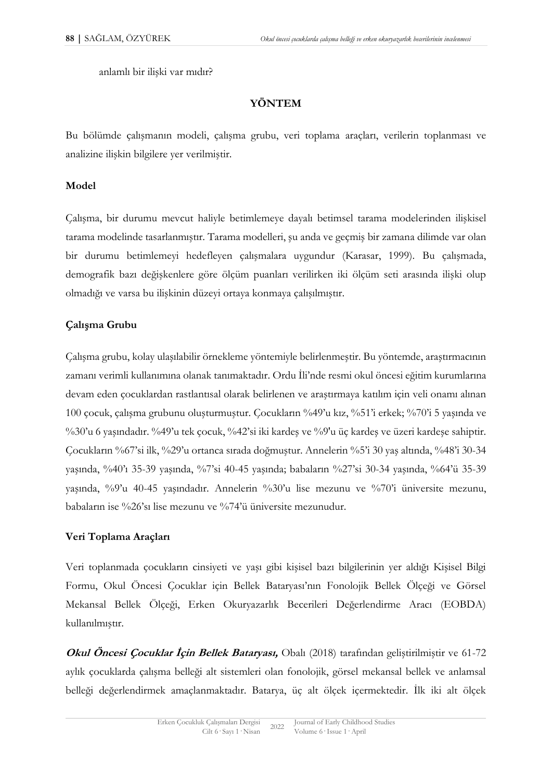anlamlı bir ilişki var mıdır?

# **YÖNTEM**

Bu bölümde çalışmanın modeli, çalışma grubu, veri toplama araçları, verilerin toplanması ve analizine ilişkin bilgilere yer verilmiştir.

### **Model**

Çalışma, bir durumu mevcut haliyle betimlemeye dayalı betimsel tarama modelerinden ilişkisel tarama modelinde tasarlanmıştır. Tarama modelleri, şu anda ve geçmiş bir zamana dilimde var olan bir durumu betimlemeyi hedefleyen çalışmalara uygundur (Karasar, 1999). Bu çalışmada, demografik bazı değişkenlere göre ölçüm puanları verilirken iki ölçüm seti arasında ilişki olup olmadığı ve varsa bu ilişkinin düzeyi ortaya konmaya çalışılmıştır.

# **Çalışma Grubu**

Çalışma grubu, kolay ulaşılabilir örnekleme yöntemiyle belirlenmeştir. Bu yöntemde, araştırmacının zamanı verimli kullanımına olanak tanımaktadır. Ordu İli'nde resmi okul öncesi eğitim kurumlarına devam eden çocuklardan rastlantısal olarak belirlenen ve araştırmaya katılım için veli onamı alınan 100 çocuk, çalışma grubunu oluşturmuştur. Çocukların %49'u kız, %51'i erkek; %70'i 5 yaşında ve %30'u 6 yaşındadır. %49'u tek çocuk, %42'si iki kardeş ve %9'u üç kardeş ve üzeri kardeşe sahiptir. Çocukların %67'si ilk, %29'u ortanca sırada doğmuştur. Annelerin %5'i 30 yaş altında, %48'i 30-34 yaşında, %40'ı 35-39 yaşında, %7'si 40-45 yaşında; babaların %27'si 30-34 yaşında, %64'ü 35-39 yaşında, %9'u 40-45 yaşındadır. Annelerin %30'u lise mezunu ve %70'i üniversite mezunu, babaların ise %26'sı lise mezunu ve %74'ü üniversite mezunudur.

### **Veri Toplama Araçları**

Veri toplanmada çocukların cinsiyeti ve yaşı gibi kişisel bazı bilgilerinin yer aldığı Kişisel Bilgi Formu, Okul Öncesi Çocuklar için Bellek Bataryası'nın Fonolojik Bellek Ölçeği ve Görsel Mekansal Bellek Ölçeği, Erken Okuryazarlık Becerileri Değerlendirme Aracı (EOBDA) kullanılmıştır.

**Okul Öncesi Çocuklar İçin Bellek Bataryası,** Obalı (2018) tarafından geliştirilmiştir ve 61-72 aylık çocuklarda çalışma belleği alt sistemleri olan fonolojik, görsel mekansal bellek ve anlamsal belleği değerlendirmek amaçlanmaktadır. Batarya, üç alt ölçek içermektedir. İlk iki alt ölçek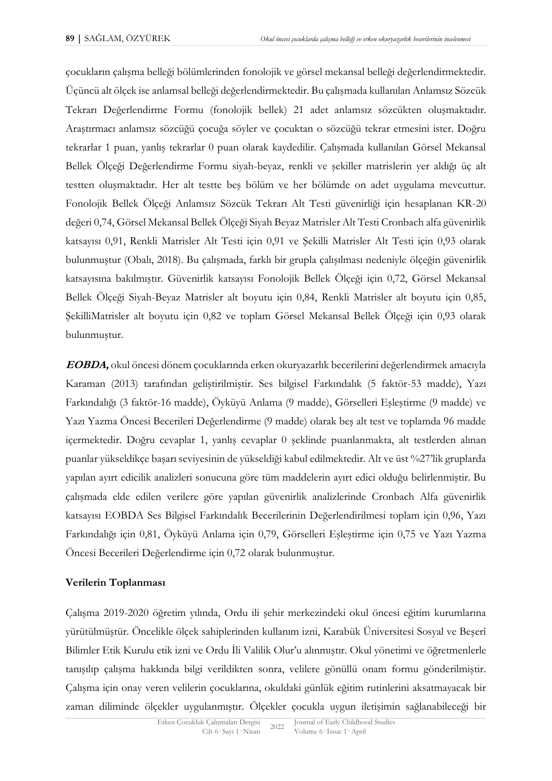çocukların çalışma belleği bölümlerinden fonolojik ve görsel mekansal belleği değerlendirmektedir. Üçüncü alt ölçek ise anlamsal belleği değerlendirmektedir. Bu çalışmada kullanılan Anlamsız Sözcük Tekrarı Değerlendirme Formu (fonolojik bellek) 21 adet anlamsız sözcükten oluşmaktadır. Araştırmacı anlamsız sözcüğü çocuğa söyler ve çocuktan o sözcüğü tekrar etmesini ister. Doğru tekrarlar 1 puan, yanlış tekrarlar 0 puan olarak kaydedilir. Çalışmada kullanılan Görsel Mekansal Bellek Ölçeği Değerlendirme Formu siyah-beyaz, renkli ve şekiller matrislerin yer aldığı üç alt testten oluşmaktadır. Her alt testte beş bölüm ve her bölümde on adet uygulama mevcuttur. Fonolojik Bellek Ölçeği Anlamsız Sözcük Tekrarı Alt Testi güvenirliği için hesaplanan KR-20 değeri 0,74, Görsel Mekansal Bellek Ölçeği Siyah Beyaz Matrisler Alt Testi Cronbach alfa güvenirlik katsayısı 0,91, Renkli Matrisler Alt Testi için 0,91 ve Şekilli Matrisler Alt Testi için 0,93 olarak bulunmuştur (Obalı, 2018). Bu çalışmada, farklı bir grupla çalışılması nedeniyle ölçeğin güvenirlik katsayısına bakılmıştır. Güvenirlik katsayısı Fonolojik Bellek Ölçeği için 0,72, Görsel Mekansal Bellek Ölçeği Siyah-Beyaz Matrisler alt boyutu için 0,84, Renkli Matrisler alt boyutu için 0,85, ŞekilliMatrisler alt boyutu için 0,82 ve toplam Görsel Mekansal Bellek Ölçeği için 0,93 olarak bulunmuştur.

**EOBDA,** okul öncesi dönem çocuklarında erken okuryazarlık becerilerini değerlendirmek amacıyla Karaman (2013) tarafından geliştirilmiştir. Ses bilgisel Farkındalık (5 faktör-53 madde), Yazı Farkındalığı (3 faktör-16 madde), Öyküyü Anlama (9 madde), Görselleri Eşleştirme (9 madde) ve Yazı Yazma Öncesi Becerileri Değerlendirme (9 madde) olarak beş alt test ve toplamda 96 madde içermektedir. Doğru cevaplar 1, yanlış cevaplar 0 şeklinde puanlanmakta, alt testlerden alınan puanlar yükseldikçe başarı seviyesinin de yükseldiği kabul edilmektedir. Alt ve üst %27'lik gruplarda yapılan ayırt edicilik analizleri sonucuna göre tüm maddelerin ayırt edici olduğu belirlenmiştir. Bu çalışmada elde edilen verilere göre yapılan güvenirlik analizlerinde Cronbach Alfa güvenirlik katsayısı EOBDA Ses Bilgisel Farkındalık Becerilerinin Değerlendirilmesi toplam için 0,96, Yazı Farkındalığı için 0,81, Öyküyü Anlama için 0,79, Görselleri Eşleştirme için 0,75 ve Yazı Yazma Öncesi Becerileri Değerlendirme için 0,72 olarak bulunmuştur.

### **Verilerin Toplanması**

Çalışma 2019-2020 öğretim yılında, Ordu ili şehir merkezindeki okul öncesi eğitim kurumlarına yürütülmüştür. Öncelikle ölçek sahiplerinden kullanım izni, Karabük Üniversitesi Sosyal ve Beşerî Bilimler Etik Kurulu etik izni ve Ordu İli Valilik Olur'u alınmıştır. Okul yönetimi ve öğretmenlerle tanışılıp çalışma hakkında bilgi verildikten sonra, velilere gönüllü onam formu gönderilmiştir. Çalışma için onay veren velilerin çocuklarına, okuldaki günlük eğitim rutinlerini aksatmayacak bir zaman diliminde ölçekler uygulanmıştır. Ölçekler çocukla uygun iletişimin sağlanabileceği bir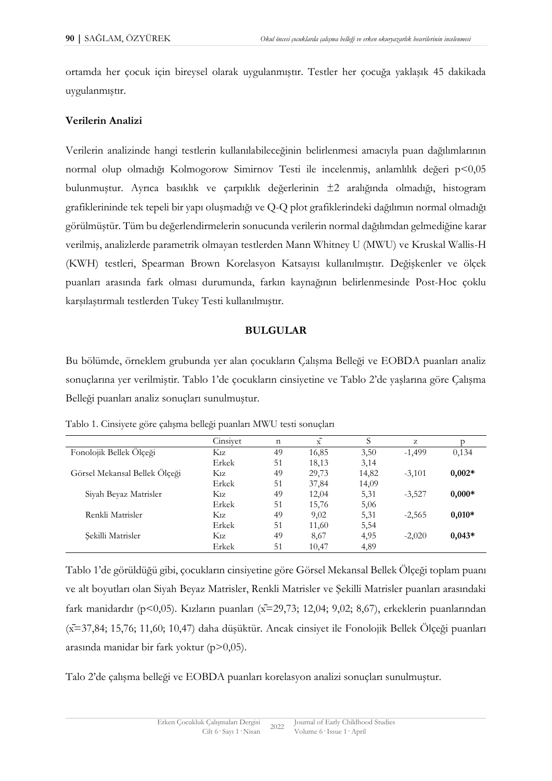ortamda her çocuk için bireysel olarak uygulanmıştır. Testler her çocuğa yaklaşık 45 dakikada uygulanmıştır.

### **Verilerin Analizi**

Verilerin analizinde hangi testlerin kullanılabileceğinin belirlenmesi amacıyla puan dağılımlarının normal olup olmadığı Kolmogorow Simirnov Testi ile incelenmiş, anlamlılık değeri p<0,05 bulunmuştur. Ayrıca basıklık ve çarpıklık değerlerinin ±2 aralığında olmadığı, histogram grafiklerininde tek tepeli bir yapı oluşmadığı ve Q-Q plot grafiklerindeki dağılımın normal olmadığı görülmüştür. Tüm bu değerlendirmelerin sonucunda verilerin normal dağılımdan gelmediğine karar verilmiş, analizlerde parametrik olmayan testlerden Mann Whitney U (MWU) ve Kruskal Wallis-H (KWH) testleri, Spearman Brown Korelasyon Katsayısı kullanılmıştır. Değişkenler ve ölçek puanları arasında fark olması durumunda, farkın kaynağının belirlenmesinde Post-Hoc çoklu karşılaştırmalı testlerden Tukey Testi kullanılmıştır.

### **BULGULAR**

Bu bölümde, örneklem grubunda yer alan çocukların Çalışma Belleği ve EOBDA puanları analiz sonuçlarına yer verilmiştir. Tablo 1'de çocukların cinsiyetine ve Tablo 2'de yaşlarına göre Çalışma Belleği puanları analiz sonuçları sunulmuştur.

|                               | Cinsiyet         | n  | x     | S     | z        |          |
|-------------------------------|------------------|----|-------|-------|----------|----------|
| Fonolojik Bellek Ölçeği       | $K_{1Z}$         | 49 | 16,85 | 3,50  | $-1,499$ | 0,134    |
|                               | Erkek            | 51 | 18,13 | 3,14  |          |          |
| Görsel Mekansal Bellek Ölçeği | $K_{1Z}$         | 49 | 29,73 | 14,82 | $-3,101$ | $0,002*$ |
|                               | Erkek            | 51 | 37,84 | 14,09 |          |          |
| Siyah Beyaz Matrisler         | K1z              | 49 | 12,04 | 5,31  | $-3,527$ | $0,000*$ |
|                               | Erkek            | 51 | 15,76 | 5,06  |          |          |
| Renkli Matrisler              | K <sub>1</sub> z | 49 | 9,02  | 5,31  | $-2,565$ | $0,010*$ |
|                               | Erkek            | 51 | 11,60 | 5,54  |          |          |
| Sekilli Matrisler             | K1z              | 49 | 8.67  | 4,95  | $-2,020$ | $0,043*$ |
|                               | Erkek            | 51 | 10,47 | 4,89  |          |          |

Tablo 1. Cinsiyete göre çalışma belleği puanları MWU testi sonuçları

Tablo 1'de görüldüğü gibi, çocukların cinsiyetine göre Görsel Mekansal Bellek Ölçeği toplam puanı ve alt boyutları olan Siyah Beyaz Matrisler, Renkli Matrisler ve Şekilli Matrisler puanları arasındaki fark manidardır (p<0,05). Kızların puanları (x=29,73; 12,04; 9,02; 8,67), erkeklerin puanlarından (x̄=37,84; 15,76; 11,60; 10,47) daha düşüktür. Ancak cinsiyet ile Fonolojik Bellek Ölçeği puanları arasında manidar bir fark yoktur (p>0,05).

Talo 2'de çalışma belleği ve EOBDA puanları korelasyon analizi sonuçları sunulmuştur.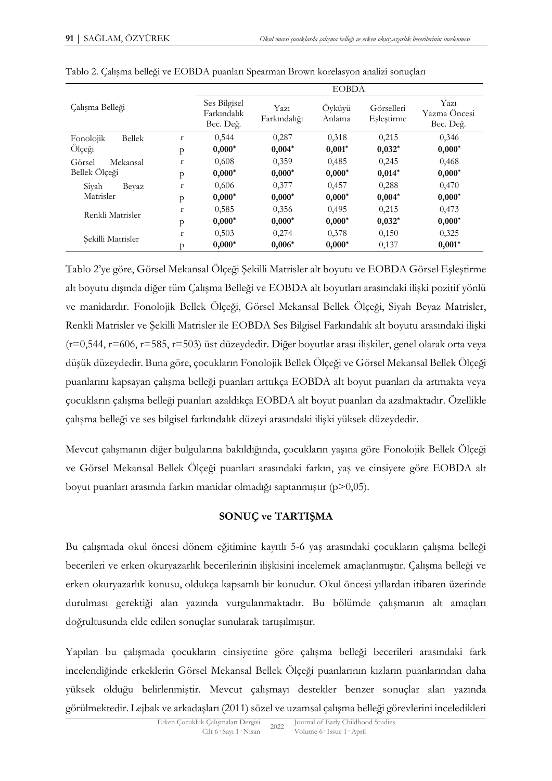|                            |                                          | <b>EOBDA</b>         |                  |                          |                                   |          |  |  |
|----------------------------|------------------------------------------|----------------------|------------------|--------------------------|-----------------------------------|----------|--|--|
| Calışma Belleği            | Ses Bilgisel<br>Farkindalik<br>Bec. Değ. | Yazı<br>Farkındalığı | Öyküyü<br>Anlama | Görselleri<br>Eslestirme | Yazı<br>Yazma Oncesi<br>Bec. Değ. |          |  |  |
| Fonolojik<br><b>Bellek</b> | $\mathbf{r}$                             | 0,544                | 0.287            | 0,318                    | 0,215                             | 0.346    |  |  |
| Ölçeği                     | $\mathsf{p}$                             | $0,000*$             | $0,004*$         | $0,001*$                 | $0,032*$                          | $0,000*$ |  |  |
| Görsel<br>Mekansal         | $\mathbf r$                              | 0,608                | 0,359            | 0,485                    | 0,245                             | 0,468    |  |  |
| Bellek Ölçeği              | $\mathsf{p}$                             | $0,000*$             | $0,000*$         | $0,000*$                 | $0,014*$                          | $0,000*$ |  |  |
| Sivah<br>Beyaz             | $\mathbf{r}$                             | 0,606                | 0.377            | 0.457                    | 0,288                             | 0,470    |  |  |
| Matrisler                  | p                                        | $0,000*$             | $0,000*$         | $0,000*$                 | $0,004*$                          | $0,000*$ |  |  |
| Renkli Matrisler           | $\mathbf{r}$                             | 0,585                | 0,356            | 0.495                    | 0,215                             | 0,473    |  |  |
|                            | p                                        | $0,000*$             | $0,000*$         | $0,000*$                 | $0,032*$                          | $0,000*$ |  |  |
| $\mathbf r$                |                                          | 0,503                | 0,274            | 0,378                    | 0,150                             | 0,325    |  |  |
| Sekilli Matrisler          | p                                        | $0,000*$             | $0,006*$         | $0,000*$                 | 0,137                             | $0,001*$ |  |  |

|  |  |  | Tablo 2. Çalışma belleği ve EOBDA puanları Spearman Brown korelasyon analizi sonuçları |  |
|--|--|--|----------------------------------------------------------------------------------------|--|
|  |  |  |                                                                                        |  |

Tablo 2'ye göre, Görsel Mekansal Ölçeği Şekilli Matrisler alt boyutu ve EOBDA Görsel Eşleştirme alt boyutu dışında diğer tüm Çalışma Belleği ve EOBDA alt boyutları arasındaki ilişki pozitif yönlü ve manidardır. Fonolojik Bellek Ölçeği, Görsel Mekansal Bellek Ölçeği, Siyah Beyaz Matrisler, Renkli Matrisler ve Şekilli Matrisler ile EOBDA Ses Bilgisel Farkındalık alt boyutu arasındaki ilişki (r=0,544, r=606, r=585, r=503) üst düzeydedir. Diğer boyutlar arası ilişkiler, genel olarak orta veya düşük düzeydedir. Buna göre, çocukların Fonolojik Bellek Ölçeği ve Görsel Mekansal Bellek Ölçeği puanlarını kapsayan çalışma belleği puanları arttıkça EOBDA alt boyut puanları da artmakta veya çocukların çalışma belleği puanları azaldıkça EOBDA alt boyut puanları da azalmaktadır. Özellikle çalışma belleği ve ses bilgisel farkındalık düzeyi arasındaki ilişki yüksek düzeydedir.

Mevcut çalışmanın diğer bulgularına bakıldığında, çocukların yaşına göre Fonolojik Bellek Ölçeği ve Görsel Mekansal Bellek Ölçeği puanları arasındaki farkın, yaş ve cinsiyete göre EOBDA alt boyut puanları arasında farkın manidar olmadığı saptanmıştır (p>0,05).

### **SONUÇ ve TARTIŞMA**

Bu çalışmada okul öncesi dönem eğitimine kayıtlı 5-6 yaş arasındaki çocukların çalışma belleği becerileri ve erken okuryazarlık becerilerinin ilişkisini incelemek amaçlanmıştır. Çalışma belleği ve erken okuryazarlık konusu, oldukça kapsamlı bir konudur. Okul öncesi yıllardan itibaren üzerinde durulması gerektiği alan yazında vurgulanmaktadır. Bu bölümde çalışmanın alt amaçları doğrultusunda elde edilen sonuçlar sunularak tartışılmıştır.

Yapılan bu çalışmada çocukların cinsiyetine göre çalışma belleği becerileri arasındaki fark incelendiğinde erkeklerin Görsel Mekansal Bellek Ölçeği puanlarının kızların puanlarından daha yüksek olduğu belirlenmiştir. Mevcut çalışmayı destekler benzer sonuçlar alan yazında görülmektedir. Lejbak ve arkadaşları (2011) sözel ve uzamsal çalışma belleği görevlerini inceledikleri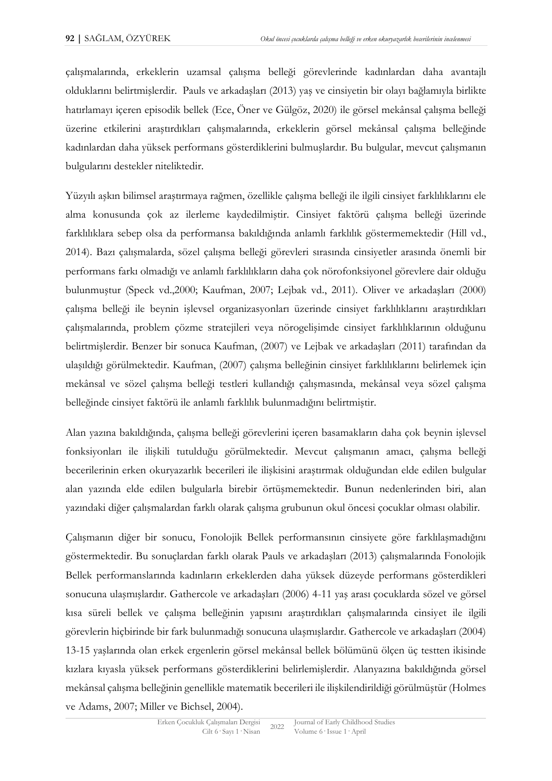çalışmalarında, erkeklerin uzamsal çalışma belleği görevlerinde kadınlardan daha avantajlı olduklarını belirtmişlerdir. Pauls ve arkadaşları (2013) yaş ve cinsiyetin bir olayı bağlamıyla birlikte hatırlamayı içeren episodik bellek (Ece, Öner ve Gülgöz, 2020) ile görsel mekânsal çalışma belleği üzerine etkilerini araştırdıkları çalışmalarında, erkeklerin görsel mekânsal çalışma belleğinde kadınlardan daha yüksek performans gösterdiklerini bulmuşlardır. Bu bulgular, mevcut çalışmanın bulgularını destekler niteliktedir.

Yüzyılı aşkın bilimsel araştırmaya rağmen, özellikle çalışma belleği ile ilgili cinsiyet farklılıklarını ele alma konusunda çok az ilerleme kaydedilmiştir. Cinsiyet faktörü çalışma belleği üzerinde farklılıklara sebep olsa da performansa bakıldığında anlamlı farklılık göstermemektedir (Hill vd., 2014). Bazı çalışmalarda, sözel çalışma belleği görevleri sırasında cinsiyetler arasında önemli bir performans farkı olmadığı ve anlamlı farklılıkların daha çok nörofonksiyonel görevlere dair olduğu bulunmuştur (Speck vd.,2000; Kaufman, 2007; Lejbak vd., 2011). Oliver ve arkadaşları (2000) çalışma belleği ile beynin işlevsel organizasyonları üzerinde cinsiyet farklılıklarını araştırdıkları çalışmalarında, problem çözme stratejileri veya nörogelişimde cinsiyet farklılıklarının olduğunu belirtmişlerdir. Benzer bir sonuca Kaufman, (2007) ve Lejbak ve arkadaşları (2011) tarafından da ulaşıldığı görülmektedir. Kaufman, (2007) çalışma belleğinin cinsiyet farklılıklarını belirlemek için mekânsal ve sözel çalışma belleği testleri kullandığı çalışmasında, mekânsal veya sözel çalışma belleğinde cinsiyet faktörü ile anlamlı farklılık bulunmadığını belirtmiştir.

Alan yazına bakıldığında, çalışma belleği görevlerini içeren basamakların daha çok beynin işlevsel fonksiyonları ile ilişkili tutulduğu görülmektedir. Mevcut çalışmanın amacı, çalışma belleği becerilerinin erken okuryazarlık becerileri ile ilişkisini araştırmak olduğundan elde edilen bulgular alan yazında elde edilen bulgularla birebir örtüşmemektedir. Bunun nedenlerinden biri, alan yazındaki diğer çalışmalardan farklı olarak çalışma grubunun okul öncesi çocuklar olması olabilir.

Çalışmanın diğer bir sonucu, Fonolojik Bellek performansının cinsiyete göre farklılaşmadığını göstermektedir. Bu sonuçlardan farklı olarak Pauls ve arkadaşları (2013) çalışmalarında Fonolojik Bellek performanslarında kadınların erkeklerden daha yüksek düzeyde performans gösterdikleri sonucuna ulaşmışlardır. Gathercole ve arkadaşları (2006) 4-11 yaş arası çocuklarda sözel ve görsel kısa süreli bellek ve çalışma belleğinin yapısını araştırdıkları çalışmalarında cinsiyet ile ilgili görevlerin hiçbirinde bir fark bulunmadığı sonucuna ulaşmışlardır. Gathercole ve arkadaşları (2004) 13-15 yaşlarında olan erkek ergenlerin görsel mekânsal bellek bölümünü ölçen üç testten ikisinde kızlara kıyasla yüksek performans gösterdiklerini belirlemişlerdir. Alanyazına bakıldığında görsel mekânsal çalışma belleğinin genellikle matematik becerileri ile ilişkilendirildiği görülmüştür (Holmes ve Adams, 2007; Miller ve Bichsel, 2004).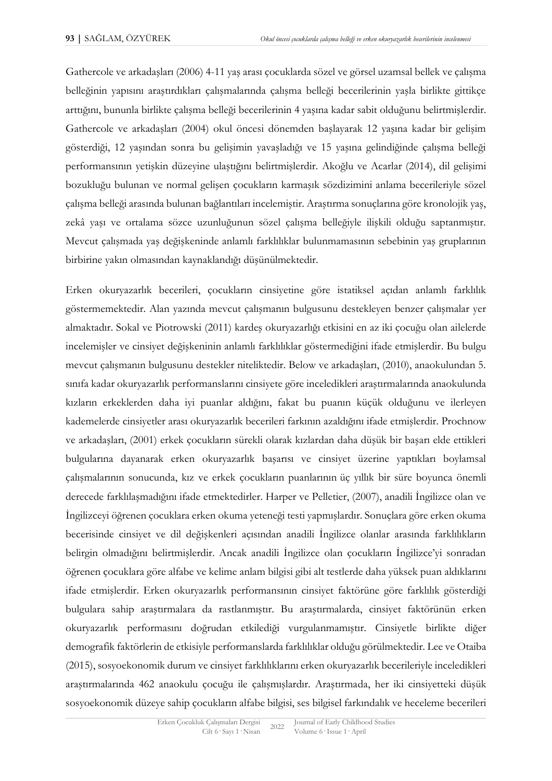Gathercole ve arkadaşları (2006) 4-11 yaş arası çocuklarda sözel ve görsel uzamsal bellek ve çalışma belleğinin yapısını araştırdıkları çalışmalarında çalışma belleği becerilerinin yaşla birlikte gittikçe arttığını, bununla birlikte çalışma belleği becerilerinin 4 yaşına kadar sabit olduğunu belirtmişlerdir. Gathercole ve arkadaşları (2004) okul öncesi dönemden başlayarak 12 yaşına kadar bir gelişim gösterdiği, 12 yaşından sonra bu gelişimin yavaşladığı ve 15 yaşına gelindiğinde çalışma belleği performansının yetişkin düzeyine ulaştığını belirtmişlerdir. Akoğlu ve Acarlar (2014), dil gelişimi bozukluğu bulunan ve normal gelişen çocukların karmaşık sözdizimini anlama becerileriyle sözel çalışma belleği arasında bulunan bağlantıları incelemiştir. Araştırma sonuçlarına göre kronolojik yaş, zekâ yaşı ve ortalama sözce uzunluğunun sözel çalışma belleğiyle ilişkili olduğu saptanmıştır. Mevcut çalışmada yaş değişkeninde anlamlı farklılıklar bulunmamasının sebebinin yaş gruplarının birbirine yakın olmasından kaynaklandığı düşünülmektedir.

Erken okuryazarlık becerileri, çocukların cinsiyetine göre istatiksel açıdan anlamlı farklılık göstermemektedir. Alan yazında mevcut çalışmanın bulgusunu destekleyen benzer çalışmalar yer almaktadır. Sokal ve Piotrowski (2011) kardeş okuryazarlığı etkisini en az iki çocuğu olan ailelerde incelemişler ve cinsiyet değişkeninin anlamlı farklılıklar göstermediğini ifade etmişlerdir. Bu bulgu mevcut çalışmanın bulgusunu destekler niteliktedir. Below ve arkadaşları, (2010), anaokulundan 5. sınıfa kadar okuryazarlık performanslarını cinsiyete göre inceledikleri araştırmalarında anaokulunda kızların erkeklerden daha iyi puanlar aldığını, fakat bu puanın küçük olduğunu ve ilerleyen kademelerde cinsiyetler arası okuryazarlık becerileri farkının azaldığını ifade etmişlerdir. Prochnow ve arkadaşları, (2001) erkek çocukların sürekli olarak kızlardan daha düşük bir başarı elde ettikleri bulgularına dayanarak erken okuryazarlık başarısı ve cinsiyet üzerine yaptıkları boylamsal çalışmalarının sonucunda, kız ve erkek çocukların puanlarının üç yıllık bir süre boyunca önemli derecede farklılaşmadığını ifade etmektedirler. Harper ve Pelletier, (2007), anadili İngilizce olan ve İngilizceyi öğrenen çocuklara erken okuma yeteneği testi yapmışlardır. Sonuçlara göre erken okuma becerisinde cinsiyet ve dil değişkenleri açısından anadili İngilizce olanlar arasında farklılıkların belirgin olmadığını belirtmişlerdir. Ancak anadili İngilizce olan çocukların İngilizce'yi sonradan öğrenen çocuklara göre alfabe ve kelime anlam bilgisi gibi alt testlerde daha yüksek puan aldıklarını ifade etmişlerdir. Erken okuryazarlık performansının cinsiyet faktörüne göre farklılık gösterdiği bulgulara sahip araştırmalara da rastlanmıştır. Bu araştırmalarda, cinsiyet faktörünün erken okuryazarlık performasını doğrudan etkilediği vurgulanmamıştır. Cinsiyetle birlikte diğer demografik faktörlerin de etkisiyle performanslarda farklılıklar olduğu görülmektedir. Lee ve Otaiba (2015), sosyoekonomik durum ve cinsiyet farklılıklarını erken okuryazarlık becerileriyle inceledikleri araştırmalarında 462 anaokulu çocuğu ile çalışmışlardır. Araştırmada, her iki cinsiyetteki düşük sosyoekonomik düzeye sahip çocukların alfabe bilgisi, ses bilgisel farkındalık ve heceleme becerileri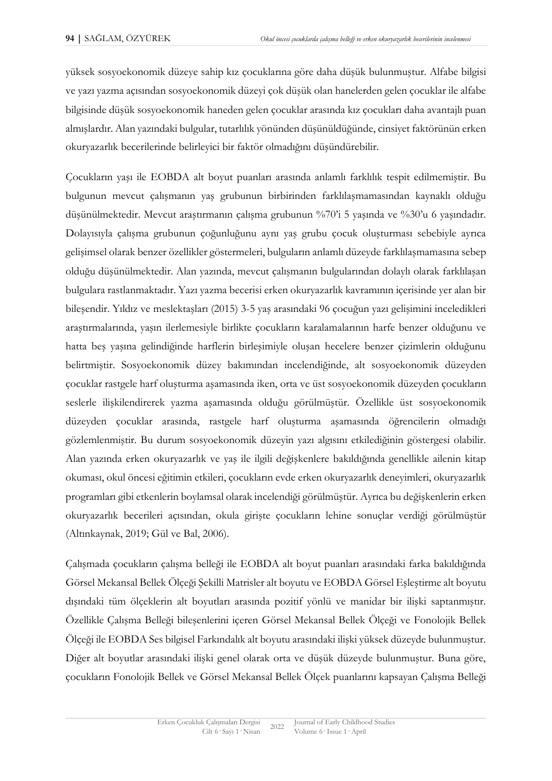yüksek sosyoekonomik düzeye sahip kız çocuklarına göre daha düşük bulunmuştur. Alfabe bilgisi ve yazı yazma açısından sosyoekonomik düzeyi çok düşük olan hanelerden gelen çocuklar ile alfabe bilgisinde düşük sosyoekonomik haneden gelen çocuklar arasında kız çocukları daha avantajlı puan almışlardır. Alan yazındaki bulgular, tutarlılık yönünden düşünüldüğünde, cinsiyet faktörünün erken okuryazarlık becerilerinde belirleyici bir faktör olmadığını düşündürebilir.

Çocukların yaşı ile EOBDA alt boyut puanları arasında anlamlı farklılık tespit edilmemiştir. Bu bulgunun mevcut çalışmanın yaş grubunun birbirinden farklılaşmamasından kaynaklı olduğu düşünülmektedir. Mevcut araştırmanın çalışma grubunun %70'i 5 yaşında ve %30'u 6 yaşındadır. Dolayısıyla çalışma grubunun çoğunluğunu aynı yaş grubu çocuk oluşturması sebebiyle ayrıca gelişimsel olarak benzer özellikler göstermeleri, bulguların anlamlı düzeyde farklılaşmamasına sebep olduğu düşünülmektedir. Alan yazında, mevcut çalışmanın bulgularından dolaylı olarak farklılaşan bulgulara rastlanmaktadır. Yazı yazma becerisi erken okuryazarlık kavramının içerisinde yer alan bir bileşendir. Yıldız ve meslektaşları (2015) 3-5 yaş arasındaki 96 çocuğun yazı gelişimini inceledikleri araştırmalarında, yaşın ilerlemesiyle birlikte çocukların karalamalarının harfe benzer olduğunu ve hatta beş yaşına gelindiğinde harflerin birleşimiyle oluşan hecelere benzer çizimlerin olduğunu belirtmiştir. Sosyoekonomik düzey bakımından incelendiğinde, alt sosyoekonomik düzeyden çocuklar rastgele harf oluşturma aşamasında iken, orta ve üst sosyoekonomik düzeyden çocukların seslerle ilişkilendirerek yazma aşamasında olduğu görülmüştür. Özellikle üst sosyoekonomik düzeyden çocuklar arasında, rastgele harf oluşturma aşamasında öğrencilerin olmadığı gözlemlenmiştir. Bu durum sosyoekonomik düzeyin yazı algısını etkilediğinin göstergesi olabilir. Alan yazında erken okuryazarlık ve yaş ile ilgili değişkenlere bakıldığında genellikle ailenin kitap okuması, okul öncesi eğitimin etkileri, çocukların evde erken okuryazarlık deneyimleri, okuryazarlık programları gibi etkenlerin boylamsal olarak incelendiği görülmüştür. Ayrıca bu değişkenlerin erken okuryazarlık becerileri açısından, okula girişte çocukların lehine sonuçlar verdiği görülmüştür (Altınkaynak, 2019; Gül ve Bal, 2006).

Çalışmada çocukların çalışma belleği ile EOBDA alt boyut puanları arasındaki farka bakıldığında Görsel Mekansal Bellek Ölçeği Şekilli Matrisler alt boyutu ve EOBDA Görsel Eşleştirme alt boyutu dışındaki tüm ölçeklerin alt boyutları arasında pozitif yönlü ve manidar bir ilişki saptanmıştır. Özellikle Çalışma Belleği bileşenlerini içeren Görsel Mekansal Bellek Ölçeği ve Fonolojik Bellek Ölçeği ile EOBDA Ses bilgisel Farkındalık alt boyutu arasındaki ilişki yüksek düzeyde bulunmuştur. Diğer alt boyutlar arasındaki ilişki genel olarak orta ve düşük düzeyde bulunmuştur. Buna göre, çocukların Fonolojik Bellek ve Görsel Mekansal Bellek Ölçek puanlarını kapsayan Çalışma Belleği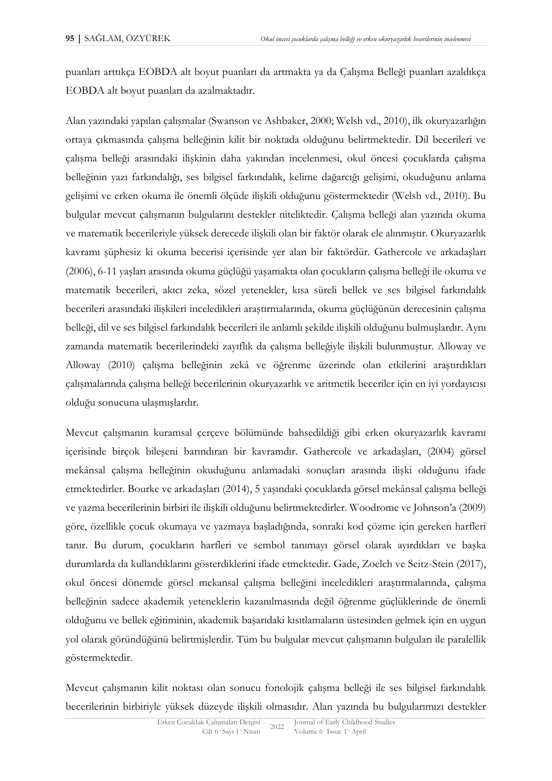puanları arttıkça EOBDA alt boyut puanları da artmakta ya da Çalışma Belleği puanları azaldıkça EOBDA alt boyut puanları da azalmaktadır.

Alan yazındaki yapılan çalışmalar (Swanson ve Ashbaker, 2000; Welsh vd., 2010), ilk okuryazarlığın ortaya çıkmasında çalışma belleğinin kilit bir noktada olduğunu belirtmektedir. Dil becerileri ve çalışma belleği arasındaki ilişkinin daha yakından incelenmesi, okul öncesi çocuklarda çalışma belleğinin yazı farkındalığı, ses bilgisel farkındalık, kelime dağarcığı gelişimi, okuduğunu anlama gelişimi ve erken okuma ile önemli ölçüde ilişkili olduğunu göstermektedir (Welsh vd., 2010). Bu bulgular mevcut çalışmanın bulgularını destekler niteliktedir. Çalışma belleği alan yazında okuma ve matematik becerileriyle yüksek derecede ilişkili olan bir faktör olarak ele alınmıştır. Okuryazarlık kavramı şüphesiz ki okuma becerisi içerisinde yer alan bir faktördür. Gathercole ve arkadaşları (2006), 6-11 yaşları arasında okuma güçlüğü yaşamakta olan çocukların çalışma belleği ile okuma ve matematik becerileri, akıcı zeka, sözel yetenekler, kısa süreli bellek ve ses bilgisel farkındalık becerileri arasındaki ilişkileri inceledikleri araştırmalarında, okuma güçlüğünün derecesinin çalışma belleği, dil ve ses bilgisel farkındalık becerileri ile anlamlı şekilde ilişkili olduğunu bulmuşlardır. Aynı zamanda matematik becerilerindeki zayıflık da çalışma belleğiyle ilişkili bulunmuştur. Alloway ve Alloway (2010) çalışma belleğinin zekâ ve öğrenme üzerinde olan etkilerini araştırdıkları çalışmalarında çalışma belleği becerilerinin okuryazarlık ve aritmetik beceriler için en iyi yordayıcısı olduğu sonucuna ulaşmışlardır.

Mevcut çalışmanın kuramsal çerçeve bölümünde bahsedildiği gibi erken okuryazarlık kavramı içerisinde birçok bileşeni barındıran bir kavramdır. Gathercole ve arkadaşları, (2004) görsel mekânsal çalışma belleğinin okuduğunu anlamadaki sonuçları arasında ilişki olduğunu ifade etmektedirler. Bourke ve arkadaşları (2014), 5 yaşındaki çocuklarda görsel mekânsal çalışma belleği ve yazma becerilerinin birbiri ile ilişkili olduğunu belirtmektedirler. Woodrome ve Johnson'a (2009) göre, özellikle çocuk okumaya ve yazmaya başladığında, sonraki kod çözme için gereken harfleri tanır. Bu durum, çocukların harfleri ve sembol tanımayı görsel olarak ayırdıkları ve başka durumlarda da kullandıklarını gösterdiklerini ifade etmektedir. Gade, Zoelch ve Seitz-Stein (2017), okul öncesi dönemde görsel mekansal çalışma belleğini inceledikleri araştırmalarında, çalışma belleğinin sadece akademik yeteneklerin kazanılmasında değil öğrenme güçlüklerinde de önemli olduğunu ve bellek eğitiminin, akademik başarıdaki kısıtlamaların üstesinden gelmek için en uygun yol olarak göründüğünü belirtmişlerdir. Tüm bu bulgular mevcut çalışmanın bulguları ile paralellik göstermektedir.

Mevcut çalışmanın kilit noktası olan sonucu fonolojik çalışma belleği ile ses bilgisel farkındalık becerilerinin birbiriyle yüksek düzeyde ilişkili olmasıdır. Alan yazında bu bulgularımızı destekler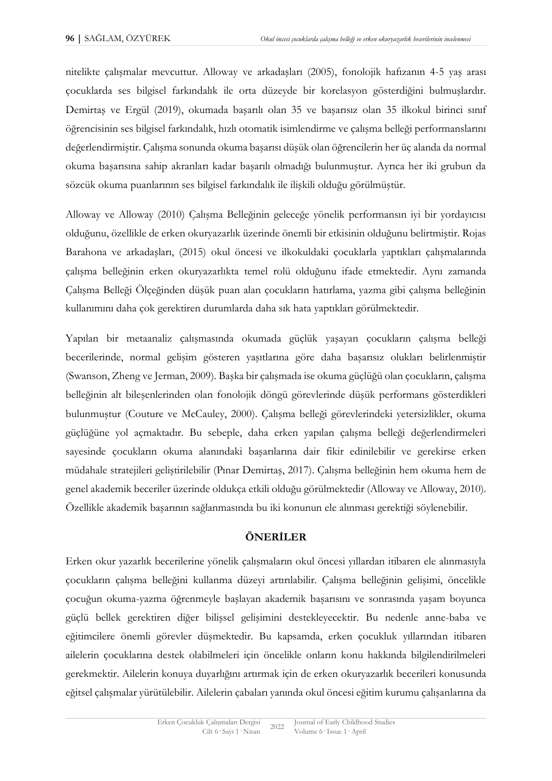nitelikte çalışmalar mevcuttur. Alloway ve arkadaşları (2005), fonolojik hafızanın 4-5 yaş arası çocuklarda ses bilgisel farkındalık ile orta düzeyde bir korelasyon gösterdiğini bulmuşlardır. Demirtaş ve Ergül (2019), okumada başarılı olan 35 ve başarısız olan 35 ilkokul birinci sınıf öğrencisinin ses bilgisel farkındalık, hızlı otomatik isimlendirme ve çalışma belleği performanslarını değerlendirmiştir. Çalışma sonunda okuma başarısı düşük olan öğrencilerin her üç alanda da normal okuma başarısına sahip akranları kadar başarılı olmadığı bulunmuştur. Ayrıca her iki grubun da sözcük okuma puanlarının ses bilgisel farkındalık ile ilişkili olduğu görülmüştür.

Alloway ve Alloway (2010) Çalışma Belleğinin geleceğe yönelik performansın iyi bir yordayıcısı olduğunu, özellikle de erken okuryazarlık üzerinde önemli bir etkisinin olduğunu belirtmiştir. Rojas Barahona ve arkadaşları, (2015) okul öncesi ve ilkokuldaki çocuklarla yaptıkları çalışmalarında çalışma belleğinin erken okuryazarlıkta temel rolü olduğunu ifade etmektedir. Aynı zamanda Çalışma Belleği Ölçeğinden düşük puan alan çocukların hatırlama, yazma gibi çalışma belleğinin kullanımını daha çok gerektiren durumlarda daha sık hata yaptıkları görülmektedir.

Yapılan bir metaanaliz çalışmasında okumada güçlük yaşayan çocukların çalışma belleği becerilerinde, normal gelişim gösteren yaşıtlarına göre daha başarısız olukları belirlenmiştir (Swanson, Zheng ve Jerman, 2009). Başka bir çalışmada ise okuma güçlüğü olan çocukların, çalışma belleğinin alt bileşenlerinden olan fonolojik döngü görevlerinde düşük performans gösterdikleri bulunmuştur (Couture ve McCauley, 2000). Çalışma belleği görevlerindeki yetersizlikler, okuma güçlüğüne yol açmaktadır. Bu sebeple, daha erken yapılan çalışma belleği değerlendirmeleri sayesinde çocukların okuma alanındaki başarılarına dair fikir edinilebilir ve gerekirse erken müdahale stratejileri geliştirilebilir (Pınar Demirtaş, 2017). Çalışma belleğinin hem okuma hem de genel akademik beceriler üzerinde oldukça etkili olduğu görülmektedir (Alloway ve Alloway, 2010). Özellikle akademik başarının sağlanmasında bu iki konunun ele alınması gerektiği söylenebilir.

#### **ÖNERİLER**

Erken okur yazarlık becerilerine yönelik çalışmaların okul öncesi yıllardan itibaren ele alınmasıyla çocukların çalışma belleğini kullanma düzeyi artırılabilir. Çalışma belleğinin gelişimi, öncelikle çocuğun okuma-yazma öğrenmeyle başlayan akademik başarısını ve sonrasında yaşam boyunca güçlü bellek gerektiren diğer bilişsel gelişimini destekleyecektir. Bu nedenle anne-baba ve eğitimcilere önemli görevler düşmektedir. Bu kapsamda, erken çocukluk yıllarından itibaren ailelerin çocuklarına destek olabilmeleri için öncelikle onların konu hakkında bilgilendirilmeleri gerekmektir. Ailelerin konuya duyarlığını artırmak için de erken okuryazarlık becerileri konusunda eğitsel çalışmalar yürütülebilir. Ailelerin çabaları yanında okul öncesi eğitim kurumu çalışanlarına da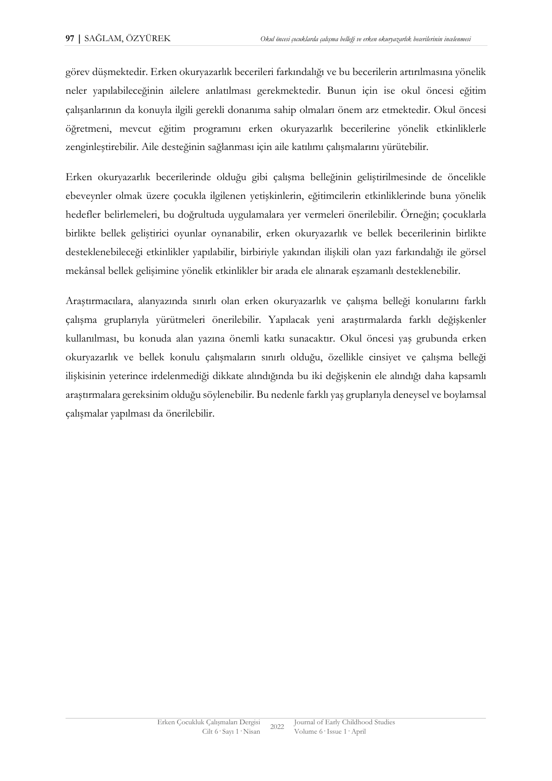görev düşmektedir. Erken okuryazarlık becerileri farkındalığı ve bu becerilerin artırılmasına yönelik neler yapılabileceğinin ailelere anlatılması gerekmektedir. Bunun için ise okul öncesi eğitim çalışanlarının da konuyla ilgili gerekli donanıma sahip olmaları önem arz etmektedir. Okul öncesi öğretmeni, mevcut eğitim programını erken okuryazarlık becerilerine yönelik etkinliklerle zenginleştirebilir. Aile desteğinin sağlanması için aile katılımı çalışmalarını yürütebilir.

Erken okuryazarlık becerilerinde olduğu gibi çalışma belleğinin geliştirilmesinde de öncelikle ebeveynler olmak üzere çocukla ilgilenen yetişkinlerin, eğitimcilerin etkinliklerinde buna yönelik hedefler belirlemeleri, bu doğrultuda uygulamalara yer vermeleri önerilebilir. Örneğin; çocuklarla birlikte bellek geliştirici oyunlar oynanabilir, erken okuryazarlık ve bellek becerilerinin birlikte desteklenebileceği etkinlikler yapılabilir, birbiriyle yakından ilişkili olan yazı farkındalığı ile görsel mekânsal bellek gelişimine yönelik etkinlikler bir arada ele alınarak eşzamanlı desteklenebilir.

Araştırmacılara, alanyazında sınırlı olan erken okuryazarlık ve çalışma belleği konularını farklı çalışma gruplarıyla yürütmeleri önerilebilir. Yapılacak yeni araştırmalarda farklı değişkenler kullanılması, bu konuda alan yazına önemli katkı sunacaktır. Okul öncesi yaş grubunda erken okuryazarlık ve bellek konulu çalışmaların sınırlı olduğu, özellikle cinsiyet ve çalışma belleği ilişkisinin yeterince irdelenmediği dikkate alındığında bu iki değişkenin ele alındığı daha kapsamlı araştırmalara gereksinim olduğu söylenebilir. Bu nedenle farklı yaş gruplarıyla deneysel ve boylamsal çalışmalar yapılması da önerilebilir.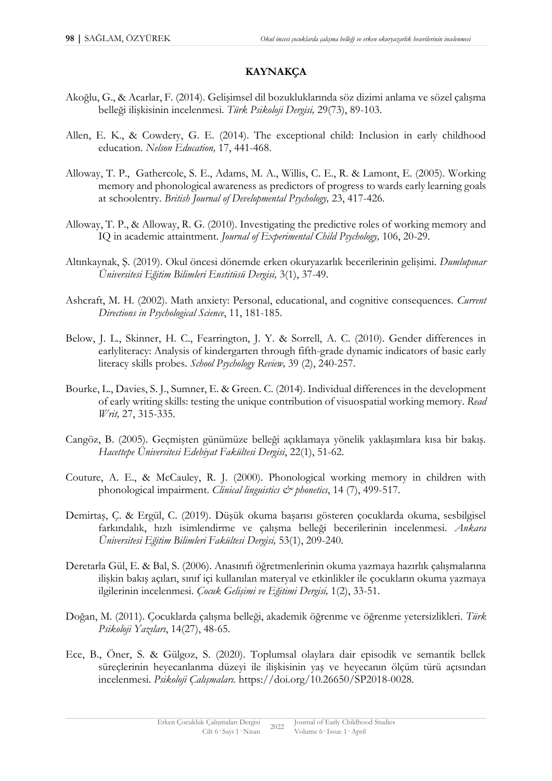## **KAYNAKÇA**

- Akoğlu, G., & Acarlar, F. (2014). Gelişimsel dil bozukluklarında söz dizimi anlama ve sözel çalışma belleği ilişkisinin incelenmesi. *Türk Psikoloji Dergisi,* 29(73), 89-103.
- Allen, E. K., & Cowdery, G. E. (2014). The exceptional child: Inclusion in early childhood education. *Nelson Education,* 17, 441-468.
- Alloway, T. P., Gathercole, S. E., Adams, M. A., Willis, C. E., R. & Lamont, E. (2005). Working memory and phonological awareness as predictors of progress to wards early learning goals at schoolentry. *British Journal of Developmental Psychology,* 23, 417-426.
- Alloway, T. P., & Alloway, R. G. (2010). Investigating the predictive roles of working memory and IQ in academic attaintment. *Journal of Experimental Child Psychology,* 106, 20-29.
- Altınkaynak, Ş. (2019). Okul öncesi dönemde erken okuryazarlık becerilerinin gelişimi. *Dumlupınar Üniversitesi Eğitim Bilimleri Enstitüsü Dergisi,* 3(1), 37-49.
- Ashcraft, M. H. (2002). Math anxiety: Personal, educational, and cognitive consequences. *Current Directions in Psychological Science*, 11, 181-185.
- Below, J. L., Skinner, H. C., Fearrington, J. Y. & Sorrell, A. C. (2010). Gender differences in earlyliteracy: Analysis of kindergarten through fifth-grade dynamic indicators of basic early literacy skills probes. *School Psychology Review,* 39 (2), 240-257.
- Bourke, L., Davies, S. J., Sumner, E. & Green. C. (2014). Individual differences in the development of early writing skills: testing the unique contribution of visuospatial working memory. *Read Writ,* 27, 315-335.
- Cangöz, B. (2005). Geçmişten günümüze belleği açıklamaya yönelik yaklaşımlara kısa bir bakış. *Hacettepe Üniversitesi Edebiyat Fakültesi Dergisi*, 22(1), 51-62.
- Couture, A. E., & McCauley, R. J. (2000). Phonological working memory in children with phonological impairment. *Clinical linguistics & phonetics*, 14 (7), 499-517.
- Demirtaş, Ç. & Ergül, C. (2019). Düşük okuma başarısı gösteren çocuklarda okuma, sesbilgisel farkındalık, hızlı isimlendirme ve çalışma belleği becerilerinin incelenmesi. *Ankara Üniversitesi Eğitim Bilimleri Fakültesi Dergisi,* 53(1), 209-240.
- Deretarla Gül, E. & Bal, S. (2006). Anasınıfı öğretmenlerinin okuma yazmaya hazırlık çalışmalarına ilişkin bakış açıları, sınıf içi kullanılan materyal ve etkinlikler ile çocukların okuma yazmaya ilgilerinin incelenmesi. *Çocuk Gelişimi ve Eğitimi Dergisi,* 1(2), 33-51.
- Doğan, M. (2011). Çocuklarda çalışma belleği, akademik öğrenme ve öğrenme yetersizlikleri. *Türk Psikoloji Yazıları*, 14(27), 48-65.
- Ece, B., Öner, S. & Gülgoz, S. (2020). Toplumsal olaylara dair episodik ve semantik bellek süreçlerinin heyecanlanma düzeyi ile ilişkisinin yaş ve heyecanın ölçüm türü açısından incelenmesi. *Psikoloji Çalışmaları.* https://doi.org/10.26650/SP2018-0028.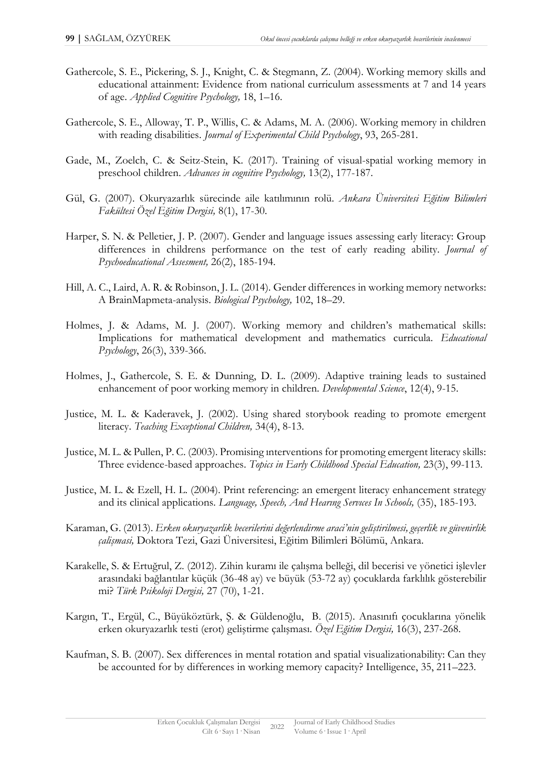- Gathercole, S. E., Pickering, S. J., Knight, C. & Stegmann, Z. (2004). Working memory skills and educational attainment: Evidence from national curriculum assessments at 7 and 14 years of age. *Applied Cognitive Psychology,* 18, 1–16.
- Gathercole, S. E., Alloway, T. P., Willis, C. & Adams, M. A. (2006). Working memory in children with reading disabilities. *Journal of Experimental Child Psychology*, 93, 265-281.
- Gade, M., Zoelch, C. & Seitz-Stein, K. (2017). Training of visual-spatial working memory in preschool children. *Advances in cognitive Psychology,* 13(2), 177-187.
- Gül, G. (2007). Okuryazarlık sürecinde aile katılımının rolü. *Ankara Üniversitesi Eğitim Bilimleri Fakültesi Özel Eğitim Dergisi,* 8(1), 17-30.
- Harper, S. N. & Pelletier, J. P. (2007). Gender and language issues assessing early literacy: Group differences in childrens performance on the test of early reading ability. *Journal of Psychoeducational Assesment,* 26(2), 185-194.
- Hill, A. C., Laird, A. R. & Robinson, J. L. (2014). Gender differences in working memory networks: A BrainMapmeta-analysis. *Biological Psychology,* 102, 18–29.
- Holmes, J. & Adams, M. J. (2007). Working memory and children's mathematical skills: Implications for mathematical development and mathematics curricula. *Educational Psychology*, 26(3), 339-366.
- Holmes, J., Gathercole, S. E. & Dunning, D. L. (2009). Adaptive training leads to sustained enhancement of poor working memory in children. *Developmental Science*, 12(4), 9-15.
- Justice, M. L. & Kaderavek, J. (2002). Using shared storybook reading to promote emergent literacy. *Teaching Exceptional Children,* 34(4), 8-13.
- Justice, M. L. & Pullen, P. C. (2003). Promising ınterventions for promoting emergent literacy skills: Three evidence-based approaches. *Topics in Early Childhood Special Education,* 23(3), 99-113.
- Justice, M. L. & Ezell, H. L. (2004). Print referencing: an emergent literacy enhancement strategy and its clinical applications. *Language, Speech, And Hearıng Servıces In Schools,* (35), 185-193.
- Karaman, G. (2013). *Erken okuryazarlik becerilerini değerlendirme araci'nin geliştirilmesi, geçerlik ve güvenirlik çalişmasi,* Doktora Tezi, Gazi Üniversitesi, Eğitim Bilimleri Bölümü, Ankara.
- Karakelle, S. & Ertuğrul, Z. (2012). Zihin kuramı ile çalışma belleği, dil becerisi ve yönetici işlevler arasındaki bağlantılar küçük (36-48 ay) ve büyük (53-72 ay) çocuklarda farklılık gösterebilir mi? *Türk Psikoloji Dergisi,* 27 (70), 1-21.
- Kargın, T., Ergül, C., Büyüköztürk, Ş. & Güldenoğlu, B. (2015). Anasınıfı çocuklarına yönelik erken okuryazarlık testi (erot) geliştirme çalışması*. Özel Eğitim Dergisi,* 16(3), 237-268.
- Kaufman, S. B. (2007). Sex differences in mental rotation and spatial visualizationability: Can they be accounted for by differences in working memory capacity? Intelligence, 35, 211–223.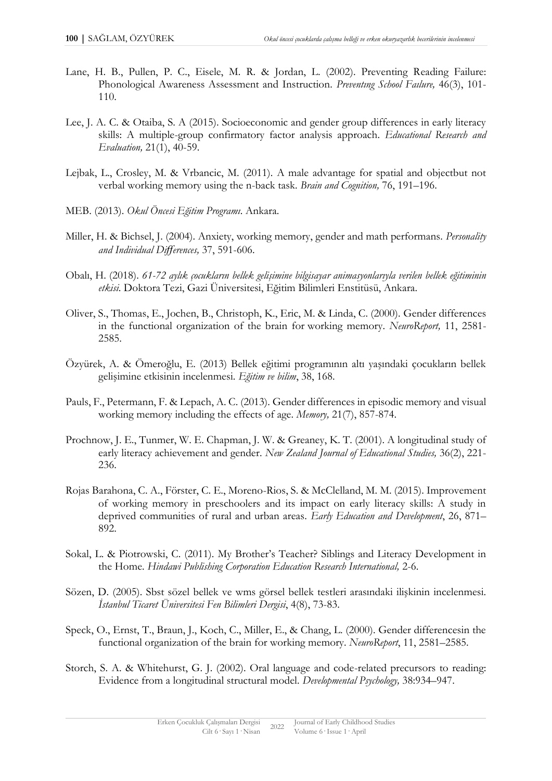- Lane, H. B., Pullen, P. C., Eisele, M. R. & Jordan, L. (2002). Preventing Reading Failure: Phonological Awareness Assessment and Instruction. *Preventıng School Faılure,* 46(3), 101- 110.
- Lee, J. A. C. & Otaiba, S. A (2015). Socioeconomic and gender group differences in early literacy skills: A multiple-group confirmatory factor analysis approach. *Educational Research and Evaluation,* 21(1), 40-59.
- Lejbak, L., Crosley, M. & Vrbancic, M. (2011). A male advantage for spatial and objectbut not verbal working memory using the n-back task. *Brain and Cognition,* 76, 191–196.
- MEB. (2013). *Okul Öncesi Eğitim Programı*. Ankara.
- Miller, H. & Bichsel, J. (2004). Anxiety, working memory, gender and math performans. *Personality and Individual Differences,* 37, 591-606.
- Obalı, H. (2018). *61-72 aylık çocukların bellek gelişimine bilgisayar animasyonlarıyla verilen bellek eğitiminin etkisi*. Doktora Tezi, Gazi Üniversitesi, Eğitim Bilimleri Enstitüsü, Ankara.
- Oliver, S., Thomas, E., Jochen, B., Christoph, K., Eric, M. & Linda, C. (2000). Gender differences in the functional organization of the brain for working memory. *NeuroReport,* 11, 2581- 2585.
- Özyürek, A. & Ömeroğlu, E. (2013) Bellek eğitimi programının altı yaşındaki çocukların bellek gelişimine etkisinin incelenmesi. *Eğitim ve bilim*, 38, 168.
- Pauls, F., Petermann, F. & Lepach, A. C. (2013). Gender differences in episodic memory and visual working memory including the effects of age. *Memory,* 21(7), 857-874.
- Prochnow, J. E., Tunmer, W. E. Chapman, J. W. & Greaney, K. T. (2001). A longitudinal study of early literacy achievement and gender. *New Zealand Journal of Educational Studies,* 36(2), 221- 236.
- Rojas Barahona, C. A., Förster, C. E., Moreno-Rios, S. & McClelland, M. M. (2015). Improvement of working memory in preschoolers and its impact on early literacy skills: A study in deprived communities of rural and urban areas. *Early Education and Development*, 26, 871– 892.
- Sokal, L. & Piotrowski, C. (2011). My Brother's Teacher? Siblings and Literacy Development in the Home. *Hindawi Publishing Corporation Education Research International,* 2-6.
- Sözen, D. (2005). Sbst sözel bellek ve wms görsel bellek testleri arasındaki ilişkinin incelenmesi. *İstanbul Ticaret Üniversitesi Fen Bilimleri Dergisi*, 4(8), 73-83.
- Speck, O., Ernst, T., Braun, J., Koch, C., Miller, E., & Chang, L. (2000). Gender differencesin the functional organization of the brain for working memory. *NeuroReport*, 11, 2581–2585.
- Storch, S. A. & Whitehurst, G. J. (2002). Oral language and code-related precursors to reading: Evidence from a longitudinal structural model. *Developmental Psychology,* 38:934–947.